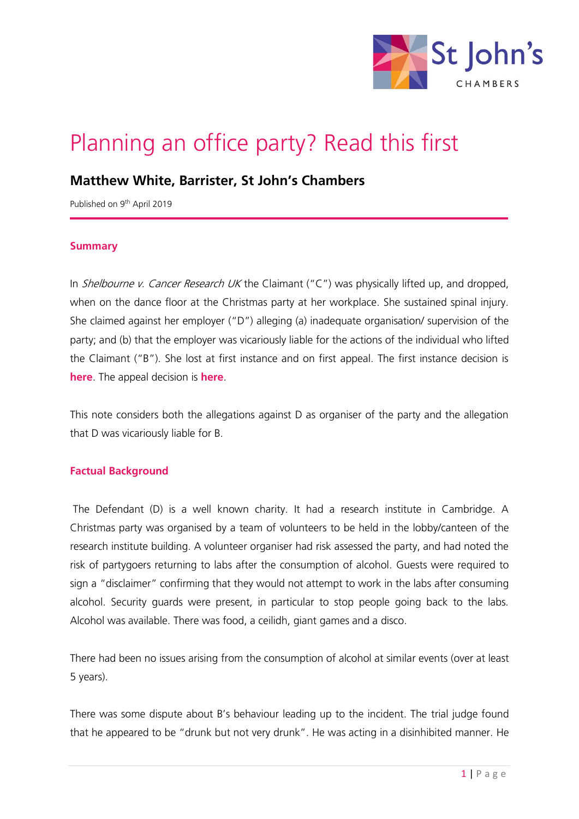

# Planning an office party? Read this first

# **Matthew White, Barrister, St John's Chambers**

Published on 9<sup>th</sup> April 2019

#### **Summary**

In *Shelbourne v. Cancer Research UK* the Claimant ("C") was physically lifted up, and dropped, when on the dance floor at the Christmas party at her workplace. She sustained spinal injury. She claimed against her employer ("D") alleging (a) inadequate organisation/ supervision of the party; and (b) that the employer was vicariously liable for the actions of the individual who lifted the Claimant ("B"). She lost at first instance and on first appeal. The first instance decision is **[here](https://www.stjohnschambers.co.uk/wp-content/uploads/2019/04/Shelbourne-v-Cancer-Research-UK-first-instance-judgment.pdf)**. The appeal decision is **[here](https://www.stjohnschambers.co.uk/wp-content/uploads/2019/04/Shelbourne-v-Cancer-Research-UK-appeal-judgment.pdf)**.

This note considers both the allegations against D as organiser of the party and the allegation that D was vicariously liable for B.

#### **Factual Background**

The Defendant (D) is a well known charity. It had a research institute in Cambridge. A Christmas party was organised by a team of volunteers to be held in the lobby/canteen of the research institute building. A volunteer organiser had risk assessed the party, and had noted the risk of partygoers returning to labs after the consumption of alcohol. Guests were required to sign a "disclaimer" confirming that they would not attempt to work in the labs after consuming alcohol. Security guards were present, in particular to stop people going back to the labs. Alcohol was available. There was food, a ceilidh, giant games and a disco.

There had been no issues arising from the consumption of alcohol at similar events (over at least 5 years).

There was some dispute about B's behaviour leading up to the incident. The trial judge found that he appeared to be "drunk but not very drunk". He was acting in a disinhibited manner. He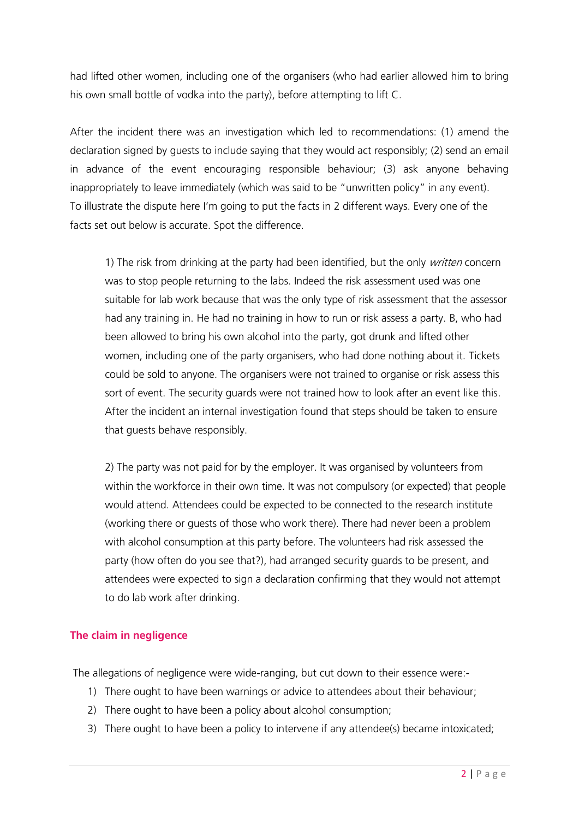had lifted other women, including one of the organisers (who had earlier allowed him to bring his own small bottle of vodka into the party), before attempting to lift C.

After the incident there was an investigation which led to recommendations: (1) amend the declaration signed by guests to include saying that they would act responsibly; (2) send an email in advance of the event encouraging responsible behaviour; (3) ask anyone behaving inappropriately to leave immediately (which was said to be "unwritten policy" in any event). To illustrate the dispute here I'm going to put the facts in 2 different ways. Every one of the facts set out below is accurate. Spot the difference.

1) The risk from drinking at the party had been identified, but the only *written* concern was to stop people returning to the labs. Indeed the risk assessment used was one suitable for lab work because that was the only type of risk assessment that the assessor had any training in. He had no training in how to run or risk assess a party. B, who had been allowed to bring his own alcohol into the party, got drunk and lifted other women, including one of the party organisers, who had done nothing about it. Tickets could be sold to anyone. The organisers were not trained to organise or risk assess this sort of event. The security guards were not trained how to look after an event like this. After the incident an internal investigation found that steps should be taken to ensure that guests behave responsibly.

2) The party was not paid for by the employer. It was organised by volunteers from within the workforce in their own time. It was not compulsory (or expected) that people would attend. Attendees could be expected to be connected to the research institute (working there or guests of those who work there). There had never been a problem with alcohol consumption at this party before. The volunteers had risk assessed the party (how often do you see that?), had arranged security guards to be present, and attendees were expected to sign a declaration confirming that they would not attempt to do lab work after drinking.

# **The claim in negligence**

The allegations of negligence were wide-ranging, but cut down to their essence were:-

- 1) There ought to have been warnings or advice to attendees about their behaviour;
- 2) There ought to have been a policy about alcohol consumption;
- 3) There ought to have been a policy to intervene if any attendee(s) became intoxicated;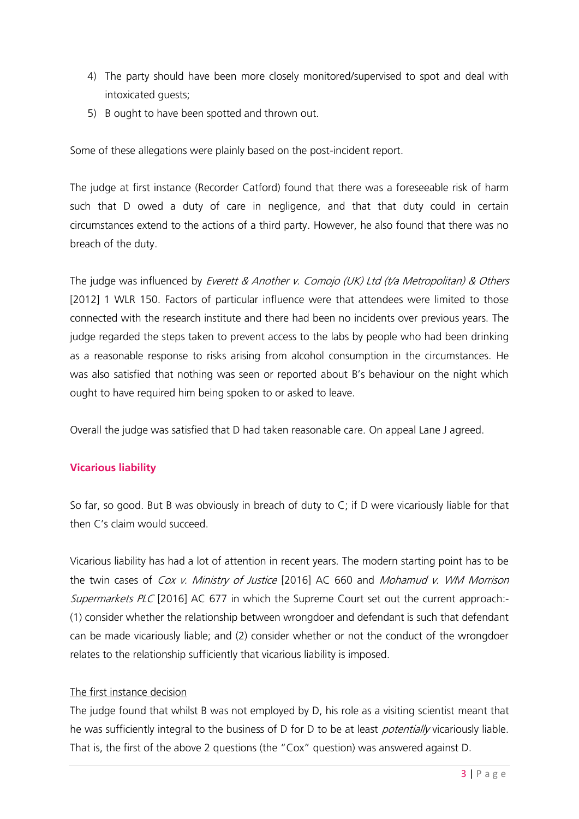- 4) The party should have been more closely monitored/supervised to spot and deal with intoxicated guests;
- 5) B ought to have been spotted and thrown out.

Some of these allegations were plainly based on the post-incident report.

The judge at first instance (Recorder Catford) found that there was a foreseeable risk of harm such that D owed a duty of care in negligence, and that that duty could in certain circumstances extend to the actions of a third party. However, he also found that there was no breach of the duty.

The judge was influenced by Everett & Another v. Comojo (UK) Ltd (t/a Metropolitan) & Others [2012] 1 WLR 150. Factors of particular influence were that attendees were limited to those connected with the research institute and there had been no incidents over previous years. The judge regarded the steps taken to prevent access to the labs by people who had been drinking as a reasonable response to risks arising from alcohol consumption in the circumstances. He was also satisfied that nothing was seen or reported about B's behaviour on the night which ought to have required him being spoken to or asked to leave.

Overall the judge was satisfied that D had taken reasonable care. On appeal Lane J agreed.

# **Vicarious liability**

So far, so good. But B was obviously in breach of duty to C; if D were vicariously liable for that then C's claim would succeed.

Vicarious liability has had a lot of attention in recent years. The modern starting point has to be the twin cases of Cox v. Ministry of Justice [2016] AC 660 and Mohamud v. WM Morrison Supermarkets PLC [2016] AC 677 in which the Supreme Court set out the current approach:-(1) consider whether the relationship between wrongdoer and defendant is such that defendant can be made vicariously liable; and (2) consider whether or not the conduct of the wrongdoer relates to the relationship sufficiently that vicarious liability is imposed.

# The first instance decision

The judge found that whilst B was not employed by D, his role as a visiting scientist meant that he was sufficiently integral to the business of D for D to be at least *potentially* vicariously liable. That is, the first of the above 2 questions (the "Cox" question) was answered against D.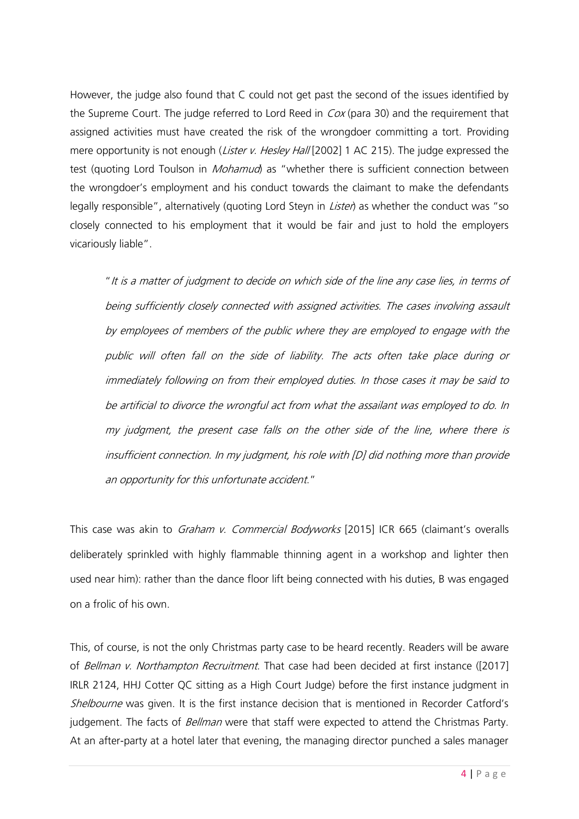However, the judge also found that C could not get past the second of the issues identified by the Supreme Court. The judge referred to Lord Reed in *Cox* (para 30) and the requirement that assigned activities must have created the risk of the wrongdoer committing a tort. Providing mere opportunity is not enough (Lister v. Hesley Hall [2002] 1 AC 215). The judge expressed the test (quoting Lord Toulson in *Mohamud*) as "whether there is sufficient connection between the wrongdoer's employment and his conduct towards the claimant to make the defendants legally responsible", alternatively (quoting Lord Steyn in *Lister*) as whether the conduct was "so closely connected to his employment that it would be fair and just to hold the employers vicariously liable".

"It is a matter of judgment to decide on which side of the line any case lies, in terms of being sufficiently closely connected with assigned activities. The cases involving assault by employees of members of the public where they are employed to engage with the public will often fall on the side of liability. The acts often take place during or immediately following on from their employed duties. In those cases it may be said to be artificial to divorce the wrongful act from what the assailant was employed to do. In my judgment, the present case falls on the other side of the line, where there is insufficient connection. In my judgment, his role with [D] did nothing more than provide an opportunity for this unfortunate accident."

This case was akin to *Graham v. Commercial Bodyworks* [2015] ICR 665 (claimant's overalls deliberately sprinkled with highly flammable thinning agent in a workshop and lighter then used near him): rather than the dance floor lift being connected with his duties, B was engaged on a frolic of his own.

This, of course, is not the only Christmas party case to be heard recently. Readers will be aware of Bellman v. Northampton Recruitment. That case had been decided at first instance ([2017] IRLR 2124, HHJ Cotter QC sitting as a High Court Judge) before the first instance judgment in Shelbourne was given. It is the first instance decision that is mentioned in Recorder Catford's judgement. The facts of Bellman were that staff were expected to attend the Christmas Party. At an after-party at a hotel later that evening, the managing director punched a sales manager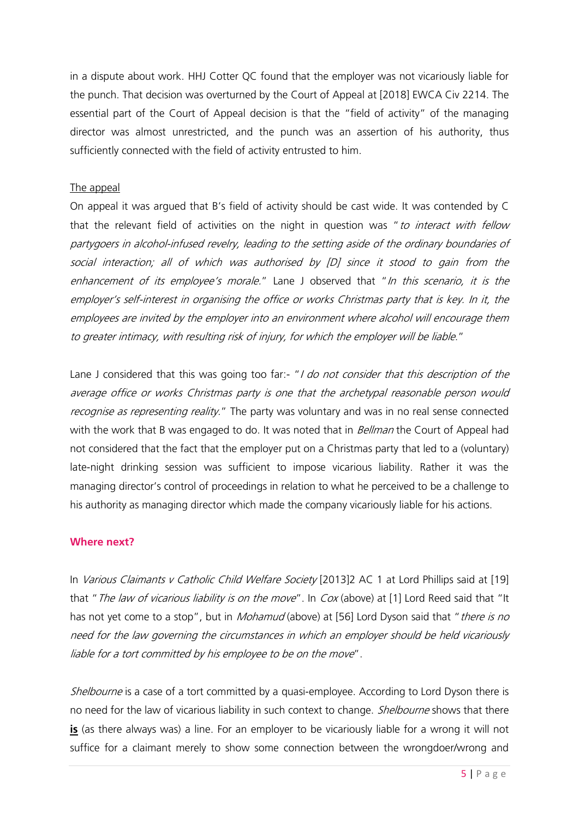in a dispute about work. HHJ Cotter QC found that the employer was not vicariously liable for the punch. That decision was overturned by the Court of Appeal at [2018] EWCA Civ 2214. The essential part of the Court of Appeal decision is that the "field of activity" of the managing director was almost unrestricted, and the punch was an assertion of his authority, thus sufficiently connected with the field of activity entrusted to him.

# The appeal

On appeal it was argued that B's field of activity should be cast wide. It was contended by C that the relevant field of activities on the night in question was "to interact with fellow partygoers in alcohol-infused revelry, leading to the setting aside of the ordinary boundaries of social interaction; all of which was authorised by [D] since it stood to gain from the enhancement of its employee's morale." Lane J observed that "In this scenario, it is the employer's self-interest in organising the office or works Christmas party that is key. In it, the employees are invited by the employer into an environment where alcohol will encourage them to greater intimacy, with resulting risk of injury, for which the employer will be liable."

Lane J considered that this was going too far:- "I do not consider that this description of the average office or works Christmas party is one that the archetypal reasonable person would recognise as representing reality." The party was voluntary and was in no real sense connected with the work that B was engaged to do. It was noted that in *Bellman* the Court of Appeal had not considered that the fact that the employer put on a Christmas party that led to a (voluntary) late-night drinking session was sufficient to impose vicarious liability. Rather it was the managing director's control of proceedings in relation to what he perceived to be a challenge to his authority as managing director which made the company vicariously liable for his actions.

#### **Where next?**

In Various Claimants v Catholic Child Welfare Society [2013]2 AC 1 at Lord Phillips said at [19] that "The law of vicarious liability is on the move". In Cox (above) at [1] Lord Reed said that "It has not yet come to a stop", but in *Mohamud* (above) at [56] Lord Dyson said that "*there is no* need for the law governing the circumstances in which an employer should be held vicariously liable for a tort committed by his employee to be on the move".

Shelbourne is a case of a tort committed by a quasi-employee. According to Lord Dyson there is no need for the law of vicarious liability in such context to change. *Shelbourne* shows that there **is** (as there always was) a line. For an employer to be vicariously liable for a wrong it will not suffice for a claimant merely to show some connection between the wrongdoer/wrong and